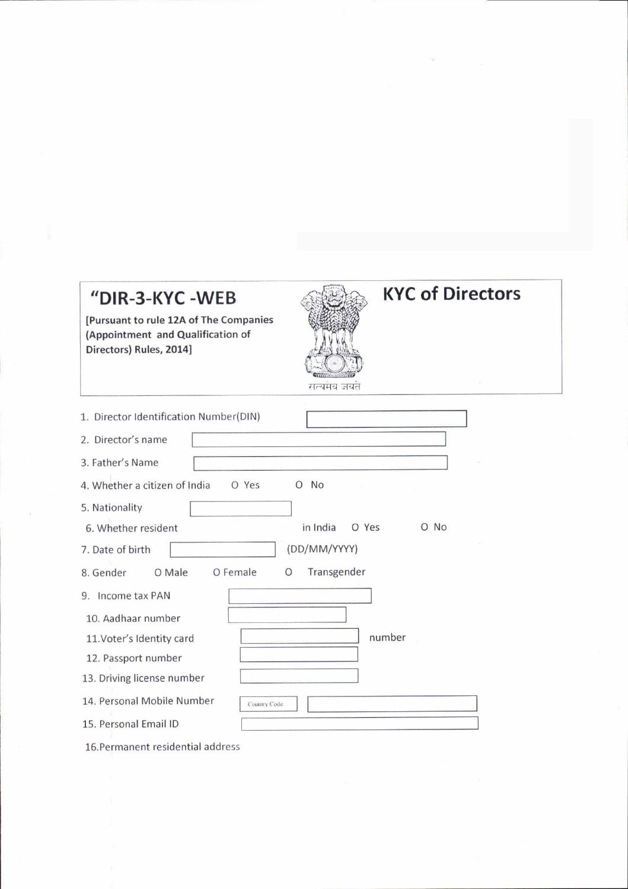## "DIR-3-KYC-WEB

[Pursuant to rule 12A of The Companies (Appointment and Qualification of Directors) Rules, 2014]



## **KYC of Directors**

| 1. Director Identification Number(DIN)                     |
|------------------------------------------------------------|
| 2. Director's name                                         |
| 3. Father's Name                                           |
| 4. Whether a citizen of India<br><b>No</b><br>O Yes<br>Ω   |
| 5. Nationality                                             |
| in India<br><b>No</b><br>O Yes<br>6. Whether resident<br>Ω |
| (DD/MM/YYYY)<br>7. Date of birth                           |
| O Female<br>O Male<br>Transgender<br>8. Gender<br>O        |
| Income tax PAN<br>9.                                       |
| 10. Aadhaar number                                         |
| number<br>11. Voter's Identity card                        |
| 12. Passport number                                        |
| 13. Driving license number                                 |
| 14. Personal Mobile Number<br>Country Code                 |
| 15. Personal Email ID                                      |

16. Permanent residential address